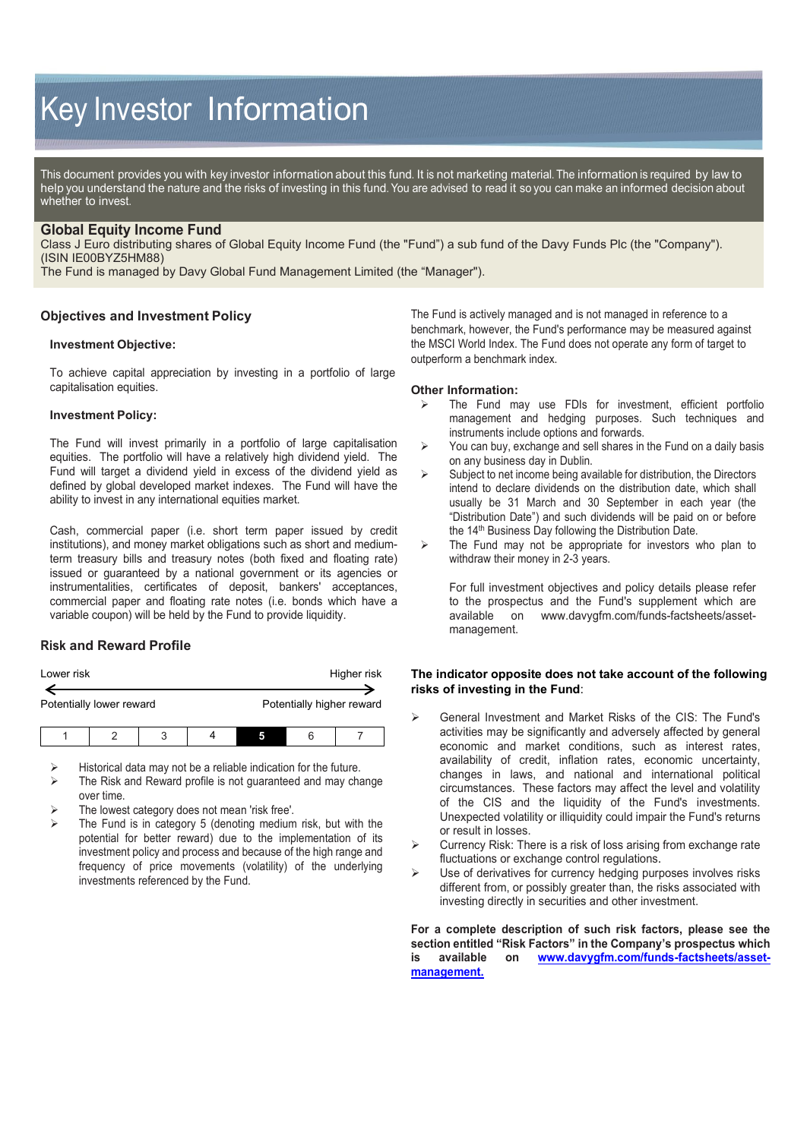# Key Investor Information

This document provides you with key investor information about this fund. It is not marketing material. The information is required by law to help you understand the nature and the risks of investing in this fund. You are advised to read it so you can make an informed decision about whether to invest.

# **Global Equity Income Fund**

Class J Euro distributing shares of Global Equity Income Fund (the "Fund") a sub fund of the Davy Funds Plc (the "Company"). (ISIN IE00BYZ5HM88)

The Fund is managed by Davy Global Fund Management Limited (the "Manager").

# **Objectives and Investment Policy**

## **Investment Objective:**

To achieve capital appreciation by investing in a portfolio of large capitalisation equities.

#### **Investment Policy:**

The Fund will invest primarily in a portfolio of large capitalisation equities. The portfolio will have a relatively high dividend yield. The Fund will target a dividend yield in excess of the dividend yield as defined by global developed market indexes. The Fund will have the ability to invest in any international equities market.

Cash, commercial paper (i.e. short term paper issued by credit institutions), and money market obligations such as short and mediumterm treasury bills and treasury notes (both fixed and floating rate) issued or guaranteed by a national government or its agencies or instrumentalities, certificates of deposit, bankers' acceptances, commercial paper and floating rate notes (i.e. bonds which have a variable coupon) will be held by the Fund to provide liquidity.

# **Risk and Reward Profile**

| Lower risk               |  |   |  |  | Higher risk               |
|--------------------------|--|---|--|--|---------------------------|
| Potentially lower reward |  |   |  |  | Potentially higher reward |
|                          |  | ີ |  |  |                           |

Historical data may not be a reliable indication for the future.

- The Risk and Reward profile is not guaranteed and may change over time.
- The lowest category does not mean 'risk free'.
- The Fund is in category 5 (denoting medium risk, but with the potential for better reward) due to the implementation of its investment policy and process and because of the high range and frequency of price movements (volatility) of the underlying investments referenced by the Fund.

The Fund is actively managed and is not managed in reference to a benchmark, however, the Fund's performance may be measured against the MSCI World Index. The Fund does not operate any form of target to outperform a benchmark index.

#### **Other Information:**

- The Fund may use FDIs for investment, efficient portfolio management and hedging purposes. Such techniques and instruments include options and forwards.
- $\triangleright$  You can buy, exchange and sell shares in the Fund on a daily basis on any business day in Dublin.
- $\triangleright$  Subject to net income being available for distribution, the Directors intend to declare dividends on the distribution date, which shall usually be 31 March and 30 September in each year (the "Distribution Date") and such dividends will be paid on or before the 14<sup>th</sup> Business Day following the Distribution Date.
- $\triangleright$  The Fund may not be appropriate for investors who plan to withdraw their money in 2-3 years.

For full investment objectives and policy details please refer to the prospectus and the Fund's supplement which are available on www.davygfm.com/funds-factsheets/asset[www.davygfm.com/funds-factsheets/asset](http://www.davygfm.com/funds-factsheets/asset-management)[management.](http://www.davygfm.com/funds-factsheets/asset-management)

## **The indicator opposite does not take account of the following risks of investing in the Fund**:

- General Investment and Market Risks of the CIS: The Fund's activities may be significantly and adversely affected by general economic and market conditions, such as interest rates, availability of credit, inflation rates, economic uncertainty, changes in laws, and national and international political circumstances. These factors may affect the level and volatility of the CIS and the liquidity of the Fund's investments. Unexpected volatility or illiquidity could impair the Fund's returns or result in losses.
- Currency Risk: There is a risk of loss arising from exchange rate fluctuations or exchange control regulations.
- Use of derivatives for currency hedging purposes involves risks different from, or possibly greater than, the risks associated with investing directly in securities and other investment.

**For a complete description of such risk factors, please see the section entitled "Risk Factors" in the Company's prospectus which is available on [www.davygfm.com/funds-factsheets/asset](http://www.davygfm.com/funds-factsheets/asset-management)[management.](http://www.davygfm.com/funds-factsheets/asset-management)**